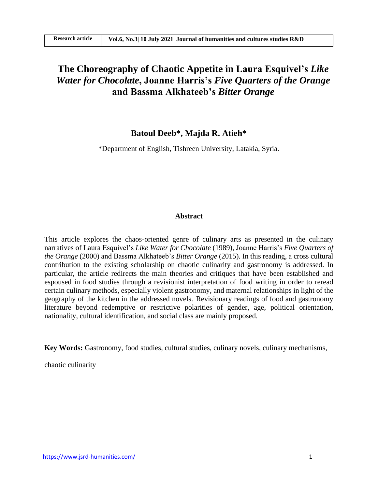# **The Choreography of Chaotic Appetite in Laura Esquivel's** *Like Water for Chocolate***, Joanne Harris's** *Five Quarters of the Orange* **and Bassma Alkhateeb's** *Bitter Orange*

**Batoul Deeb\*, Majda R. Atieh\***

\*Department of English, Tishreen University, Latakia, Syria.

## **Abstract**

This article explores the chaos-oriented genre of culinary arts as presented in the culinary narratives of Laura Esquivel's *Like Water for Chocolate* (1989), Joanne Harris's *Five Quarters of the Orange* (2000) and Bassma Alkhateeb's *Bitter Orange* (2015)*.* In this reading, a cross cultural contribution to the existing scholarship on chaotic culinarity and gastronomy is addressed. In particular, the article redirects the main theories and critiques that have been established and espoused in food studies through a revisionist interpretation of food writing in order to reread certain culinary methods, especially violent gastronomy, and maternal relationships in light of the geography of the kitchen in the addressed novels. Revisionary readings of food and gastronomy literature beyond redemptive or restrictive polarities of gender, age, political orientation, nationality, cultural identification, and social class are mainly proposed.

**Key Words:** Gastronomy, food studies, cultural studies, culinary novels, culinary mechanisms,

chaotic culinarity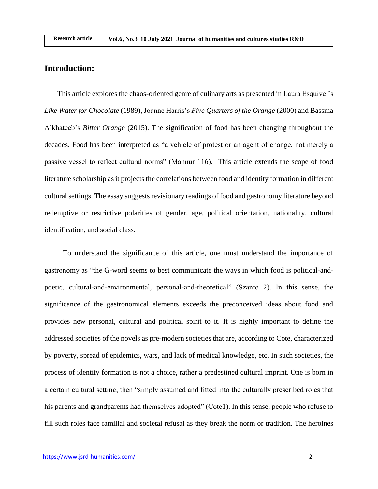$R = 1$ 

# **Introduction:**

 This article explores the chaos-oriented genre of culinary arts as presented in Laura Esquivel's *Like Water for Chocolate* (1989), Joanne Harris's *Five Quarters of the Orange* (2000) and Bassma Alkhateeb's *Bitter Orange* (2015). The signification of food has been changing throughout the decades. Food has been interpreted as "a vehicle of protest or an agent of change, not merely a passive vessel to reflect cultural norms" (Mannur 116). This article extends the scope of food literature scholarship as it projects the correlations between food and identity formation in different cultural settings. The essay suggests revisionary readings of food and gastronomy literature beyond redemptive or restrictive polarities of gender, age, political orientation, nationality, cultural identification, and social class.

 To understand the significance of this article, one must understand the importance of gastronomy as "the G-word seems to best communicate the ways in which food is political-andpoetic, cultural-and-environmental, personal-and-theoretical" (Szanto 2). In this sense, the significance of the gastronomical elements exceeds the preconceived ideas about food and provides new personal, cultural and political spirit to it. It is highly important to define the addressed societies of the novels as pre-modern societies that are, according to Cote, characterized by poverty, spread of epidemics, wars, and lack of medical knowledge, etc. In such societies, the process of identity formation is not a choice, rather a predestined cultural imprint. One is born in a certain cultural setting, then "simply assumed and fitted into the culturally prescribed roles that his parents and grandparents had themselves adopted" (Cote1). In this sense, people who refuse to fill such roles face familial and societal refusal as they break the norm or tradition. The heroines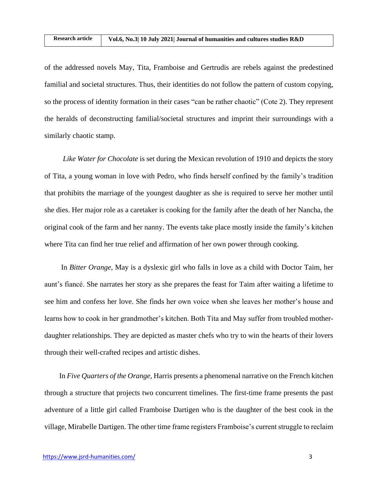of the addressed novels May, Tita, Framboise and Gertrudis are rebels against the predestined familial and societal structures. Thus, their identities do not follow the pattern of custom copying, so the process of identity formation in their cases "can be rather chaotic" (Cote 2). They represent the heralds of deconstructing familial/societal structures and imprint their surroundings with a similarly chaotic stamp.

 *Like Water for Chocolate* is set during the Mexican revolution of 1910 and depicts the story of Tita, a young woman in love with Pedro, who finds herself confined by the family's tradition that prohibits the marriage of the youngest daughter as she is required to serve her mother until she dies. Her major role as a caretaker is cooking for the family after the death of her Nancha, the original cook of the farm and her nanny. The events take place mostly inside the family's kitchen where Tita can find her true relief and affirmation of her own power through cooking.

 In *Bitter Orange*, May is a dyslexic girl who falls in love as a child with Doctor Taim, her aunt's fiancé. She narrates her story as she prepares the feast for Taim after waiting a lifetime to see him and confess her love. She finds her own voice when she leaves her mother's house and learns how to cook in her grandmother's kitchen. Both Tita and May suffer from troubled motherdaughter relationships. They are depicted as master chefs who try to win the hearts of their lovers through their well-crafted recipes and artistic dishes.

 In *Five Quarters of the Orange*, Harris presents a phenomenal narrative on the French kitchen through a structure that projects two concurrent timelines. The first-time frame presents the past adventure of a little girl called Framboise Dartigen who is the daughter of the best cook in the village, Mirabelle Dartigen. The other time frame registers Framboise's current struggle to reclaim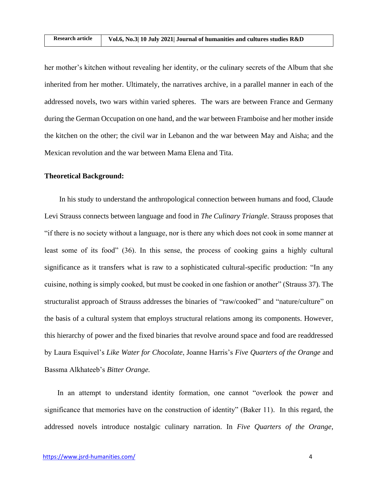her mother's kitchen without revealing her identity, or the culinary secrets of the Album that she inherited from her mother. Ultimately, the narratives archive, in a parallel manner in each of the addressed novels, two wars within varied spheres. The wars are between France and Germany during the German Occupation on one hand, and the war between Framboise and her mother inside the kitchen on the other; the civil war in Lebanon and the war between May and Aisha; and the Mexican revolution and the war between Mama Elena and Tita.

#### **Theoretical Background:**

 In his study to understand the anthropological connection between humans and food, Claude Levi Strauss connects between language and food in *The Culinary Triangle*. Strauss proposes that "if there is no society without a language, nor is there any which does not cook in some manner at least some of its food" (36). In this sense, the process of cooking gains a highly cultural significance as it transfers what is raw to a sophisticated cultural-specific production: "In any cuisine, nothing is simply cooked, but must be cooked in one fashion or another" (Strauss 37). The structuralist approach of Strauss addresses the binaries of "raw/cooked" and "nature/culture" on the basis of a cultural system that employs structural relations among its components. However, this hierarchy of power and the fixed binaries that revolve around space and food are readdressed by Laura Esquivel's *Like Water for Chocolate*, Joanne Harris's *Five Quarters of the Orange* and Bassma Alkhateeb's *Bitter Orange.*

 In an attempt to understand identity formation, one cannot "overlook the power and significance that memories have on the construction of identity" (Baker 11). In this regard, the addressed novels introduce nostalgic culinary narration. In *Five Quarters of the Orange*,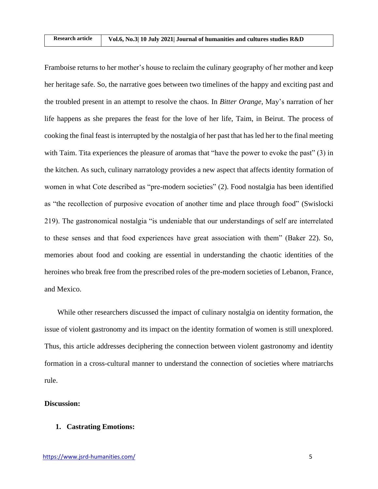Framboise returns to her mother's house to reclaim the culinary geography of her mother and keep her heritage safe. So, the narrative goes between two timelines of the happy and exciting past and the troubled present in an attempt to resolve the chaos. In *Bitter Orange*, May's narration of her life happens as she prepares the feast for the love of her life, Taim, in Beirut. The process of cooking the final feast is interrupted by the nostalgia of her past that has led her to the final meeting with Taim. Tita experiences the pleasure of aromas that "have the power to evoke the past" (3) in the kitchen. As such, culinary narratology provides a new aspect that affects identity formation of women in what Cote described as "pre-modern societies" (2). Food nostalgia has been identified as "the recollection of purposive evocation of another time and place through food" (Swislocki 219). The gastronomical nostalgia "is undeniable that our understandings of self are interrelated to these senses and that food experiences have great association with them" (Baker 22). So, memories about food and cooking are essential in understanding the chaotic identities of the heroines who break free from the prescribed roles of the pre-modern societies of Lebanon, France, and Mexico.

 While other researchers discussed the impact of culinary nostalgia on identity formation, the issue of violent gastronomy and its impact on the identity formation of women is still unexplored. Thus, this article addresses deciphering the connection between violent gastronomy and identity formation in a cross-cultural manner to understand the connection of societies where matriarchs rule.

#### **Discussion:**

#### **1. Castrating Emotions:**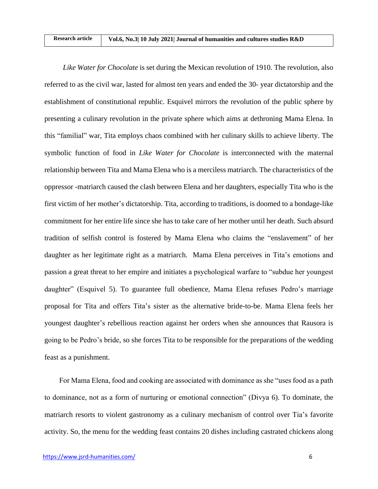$R = 1$ | Rese **Research article Vol.6, No.3| 10 July 2021| Journal of humanities and cultures studies R&D**

 *Like Water for Chocolate* is set during the Mexican revolution of 1910. The revolution, also referred to as the civil war, lasted for almost ten years and ended the 30- year dictatorship and the establishment of constitutional republic. Esquivel mirrors the revolution of the public sphere by presenting a culinary revolution in the private sphere which aims at dethroning Mama Elena. In this "familial" war, Tita employs chaos combined with her culinary skills to achieve liberty. The symbolic function of food in *Like Water for Chocolate* is interconnected with the maternal relationship between Tita and Mama Elena who is a merciless matriarch. The characteristics of the oppressor -matriarch caused the clash between Elena and her daughters, especially Tita who is the first victim of her mother's dictatorship. Tita, according to traditions, is doomed to a bondage-like commitment for her entire life since she has to take care of her mother until her death. Such absurd tradition of selfish control is fostered by Mama Elena who claims the "enslavement" of her daughter as her legitimate right as a matriarch. Mama Elena perceives in Tita's emotions and passion a great threat to her empire and initiates a psychological warfare to "subdue her youngest daughter" (Esquivel 5). To guarantee full obedience, Mama Elena refuses Pedro's marriage proposal for Tita and offers Tita's sister as the alternative bride-to-be. Mama Elena feels her youngest daughter's rebellious reaction against her orders when she announces that Rausora is going to be Pedro's bride, so she forces Tita to be responsible for the preparations of the wedding feast as a punishment.

 For Mama Elena, food and cooking are associated with dominance as she "uses food as a path to dominance, not as a form of nurturing or emotional connection" (Divya 6). To dominate, the matriarch resorts to violent gastronomy as a culinary mechanism of control over Tia's favorite activity. So, the menu for the wedding feast contains 20 dishes including castrated chickens along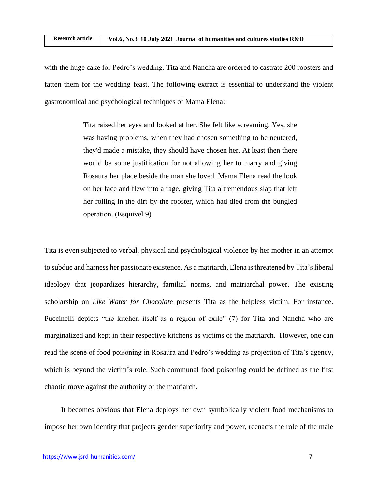with the huge cake for Pedro's wedding. Tita and Nancha are ordered to castrate 200 roosters and fatten them for the wedding feast. The following extract is essential to understand the violent gastronomical and psychological techniques of Mama Elena:

> Tita raised her eyes and looked at her. She felt like screaming, Yes, she was having problems, when they had chosen something to be neutered, they'd made a mistake, they should have chosen her. At least then there would be some justification for not allowing her to marry and giving Rosaura her place beside the man she loved. Mama Elena read the look on her face and flew into a rage, giving Tita a tremendous slap that left her rolling in the dirt by the rooster, which had died from the bungled operation. (Esquivel 9)

Tita is even subjected to verbal, physical and psychological violence by her mother in an attempt to subdue and harness her passionate existence. As a matriarch, Elena is threatened by Tita's liberal ideology that jeopardizes hierarchy, familial norms, and matriarchal power. The existing scholarship on *Like Water for Chocolate* presents Tita as the helpless victim. For instance, Puccinelli depicts "the kitchen itself as a region of exile" (7) for Tita and Nancha who are marginalized and kept in their respective kitchens as victims of the matriarch. However, one can read the scene of food poisoning in Rosaura and Pedro's wedding as projection of Tita's agency, which is beyond the victim's role. Such communal food poisoning could be defined as the first chaotic move against the authority of the matriarch.

 It becomes obvious that Elena deploys her own symbolically violent food mechanisms to impose her own identity that projects gender superiority and power, reenacts the role of the male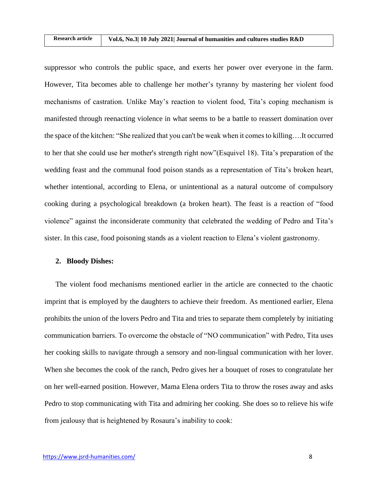suppressor who controls the public space, and exerts her power over everyone in the farm. However, Tita becomes able to challenge her mother's tyranny by mastering her violent food mechanisms of castration. Unlike May's reaction to violent food, Tita's coping mechanism is manifested through reenacting violence in what seems to be a battle to reassert domination over the space of the kitchen: "She realized that you can't be weak when it comes to killing….It occurred to her that she could use her mother's strength right now"(Esquivel 18). Tita's preparation of the wedding feast and the communal food poison stands as a representation of Tita's broken heart, whether intentional, according to Elena, or unintentional as a natural outcome of compulsory cooking during a psychological breakdown (a broken heart). The feast is a reaction of "food violence" against the inconsiderate community that celebrated the wedding of Pedro and Tita's sister. In this case, food poisoning stands as a violent reaction to Elena's violent gastronomy.

#### **2. Bloody Dishes:**

 The violent food mechanisms mentioned earlier in the article are connected to the chaotic imprint that is employed by the daughters to achieve their freedom. As mentioned earlier, Elena prohibits the union of the lovers Pedro and Tita and tries to separate them completely by initiating communication barriers. To overcome the obstacle of "NO communication" with Pedro, Tita uses her cooking skills to navigate through a sensory and non-lingual communication with her lover. When she becomes the cook of the ranch, Pedro gives her a bouquet of roses to congratulate her on her well-earned position. However, Mama Elena orders Tita to throw the roses away and asks Pedro to stop communicating with Tita and admiring her cooking. She does so to relieve his wife from jealousy that is heightened by Rosaura's inability to cook: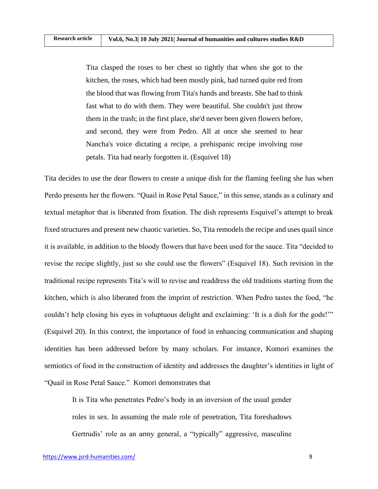Tita clasped the roses to her chest so tightly that when she got to the kitchen, the roses, which had been mostly pink, had turned quite red from the blood that was flowing from Tita's hands and breasts. She had to think fast what to do with them. They were beautiful. She couldn't just throw them in the trash; in the first place, she'd never been given flowers before, and second, they were from Pedro. All at once she seemed to hear Nancha's voice dictating a recipe, a prehispanic recipe involving rose petals. Tita had nearly forgotten it. (Esquivel 18)

Tita decides to use the dear flowers to create a unique dish for the flaming feeling she has when Perdo presents her the flowers. "Quail in Rose Petal Sauce," in this sense, stands as a culinary and textual metaphor that is liberated from fixation. The dish represents Esquivel's attempt to break fixed structures and present new chaotic varieties. So, Tita remodels the recipe and uses quail since it is available, in addition to the bloody flowers that have been used for the sauce. Tita "decided to revise the recipe slightly, just so she could use the flowers" (Esquivel 18). Such revision in the traditional recipe represents Tita's will to revise and readdress the old traditions starting from the kitchen, which is also liberated from the imprint of restriction. When Pedro tastes the food, "he couldn't help closing his eyes in voluptuous delight and exclaiming: 'It is a dish for the gods!'" (Esquivel 20). In this context, the importance of food in enhancing communication and shaping identities has been addressed before by many scholars. For instance, Komori examines the semiotics of food in the construction of identity and addresses the daughter's identities in light of "Quail in Rose Petal Sauce." Komori demonstrates that

It is Tita who penetrates Pedro's body in an inversion of the usual gender roles in sex. In assuming the male role of penetration, Tita foreshadows Gertrudis' role as an army general, a "typically" aggressive, masculine

 $R = 1$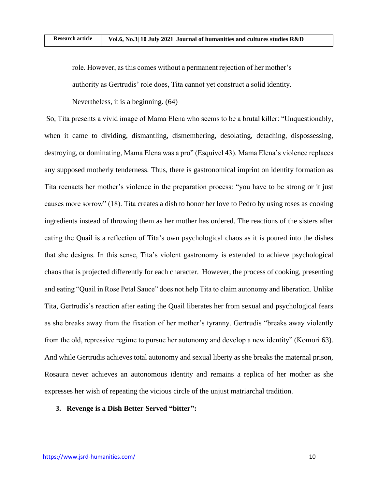role. However, as this comes without a permanent rejection of her mother's authority as Gertrudis' role does, Tita cannot yet construct a solid identity. Nevertheless, it is a beginning. (64)

So, Tita presents a vivid image of Mama Elena who seems to be a brutal killer: "Unquestionably, when it came to dividing, dismantling, dismembering, desolating, detaching, dispossessing, destroying, or dominating, Mama Elena was a pro" (Esquivel 43). Mama Elena's violence replaces any supposed motherly tenderness. Thus, there is gastronomical imprint on identity formation as Tita reenacts her mother's violence in the preparation process: "you have to be strong or it just causes more sorrow" (18). Tita creates a dish to honor her love to Pedro by using roses as cooking ingredients instead of throwing them as her mother has ordered. The reactions of the sisters after eating the Quail is a reflection of Tita's own psychological chaos as it is poured into the dishes that she designs. In this sense, Tita's violent gastronomy is extended to achieve psychological chaos that is projected differently for each character. However, the process of cooking, presenting and eating "Quail in Rose Petal Sauce" does not help Tita to claim autonomy and liberation. Unlike Tita, Gertrudis's reaction after eating the Quail liberates her from sexual and psychological fears as she breaks away from the fixation of her mother's tyranny. Gertrudis "breaks away violently from the old, repressive regime to pursue her autonomy and develop a new identity" (Komori 63). And while Gertrudis achieves total autonomy and sexual liberty as she breaks the maternal prison, Rosaura never achieves an autonomous identity and remains a replica of her mother as she expresses her wish of repeating the vicious circle of the unjust matriarchal tradition.

### **3. Revenge is a Dish Better Served "bitter":**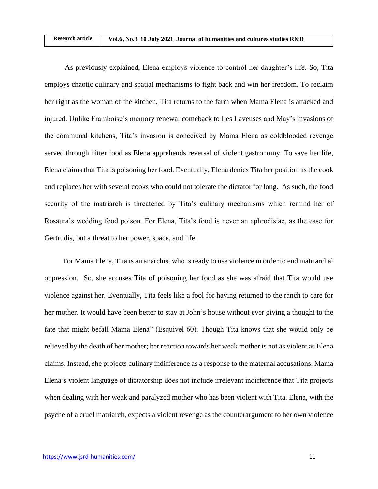As previously explained, Elena employs violence to control her daughter's life. So, Tita employs chaotic culinary and spatial mechanisms to fight back and win her freedom. To reclaim her right as the woman of the kitchen, Tita returns to the farm when Mama Elena is attacked and injured. Unlike Framboise's memory renewal comeback to Les Laveuses and May's invasions of the communal kitchens, Tita's invasion is conceived by Mama Elena as coldblooded revenge served through bitter food as Elena apprehends reversal of violent gastronomy. To save her life, Elena claims that Tita is poisoning her food. Eventually, Elena denies Tita her position as the cook and replaces her with several cooks who could not tolerate the dictator for long. As such, the food security of the matriarch is threatened by Tita's culinary mechanisms which remind her of Rosaura's wedding food poison. For Elena, Tita's food is never an aphrodisiac, as the case for Gertrudis, but a threat to her power, space, and life.

 For Mama Elena, Tita is an anarchist who is ready to use violence in order to end matriarchal oppression. So, she accuses Tita of poisoning her food as she was afraid that Tita would use violence against her. Eventually, Tita feels like a fool for having returned to the ranch to care for her mother. It would have been better to stay at John's house without ever giving a thought to the fate that might befall Mama Elena" (Esquivel 60). Though Tita knows that she would only be relieved by the death of her mother; her reaction towards her weak mother is not as violent as Elena claims. Instead, she projects culinary indifference as a response to the maternal accusations. Mama Elena's violent language of dictatorship does not include irrelevant indifference that Tita projects when dealing with her weak and paralyzed mother who has been violent with Tita. Elena, with the psyche of a cruel matriarch, expects a violent revenge as the counterargument to her own violence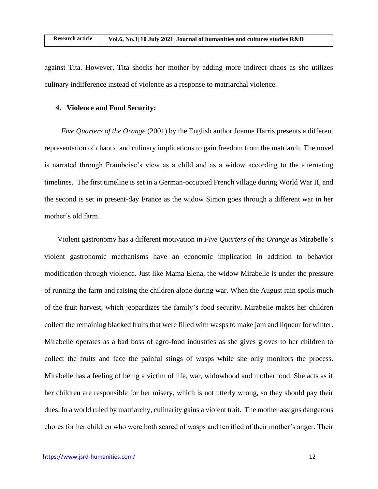against Tita. However, Tita shocks her mother by adding more indirect chaos as she utilizes culinary indifference instead of violence as a response to matriarchal violence.

#### **4. Violence and Food Security:**

 *Five Quarters of the Orange* (2001) by the English author Joanne Harris presents a different representation of chaotic and culinary implications to gain freedom from the matriarch. The novel is narrated through Framboise's view as a child and as a widow according to the alternating timelines. The first timeline is set in a German-occupied French village during World War II, and the second is set in present-day France as the widow Simon goes through a different war in her mother's old farm.

 Violent gastronomy has a different motivation in *Five Quarters of the Orange* as Mirabelle's violent gastronomic mechanisms have an economic implication in addition to behavior modification through violence. Just like Mama Elena, the widow Mirabelle is under the pressure of running the farm and raising the children alone during war. When the August rain spoils much of the fruit harvest, which jeopardizes the family's food security, Mirabelle makes her children collect the remaining blacked fruits that were filled with wasps to make jam and liqueur for winter. Mirabelle operates as a bad boss of agro-food industries as she gives gloves to her children to collect the fruits and face the painful stings of wasps while she only monitors the process. Mirabelle has a feeling of being a victim of life, war, widowhood and motherhood. She acts as if her children are responsible for her misery, which is not utterly wrong, so they should pay their dues. In a world ruled by matriarchy, culinarity gains a violent trait. The mother assigns dangerous chores for her children who were both scared of wasps and terrified of their mother's anger. Their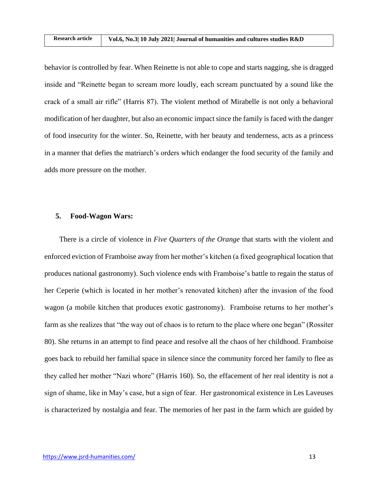behavior is controlled by fear. When Reinette is not able to cope and starts nagging, she is dragged inside and "Reinette began to scream more loudly, each scream punctuated by a sound like the crack of a small air rifle" (Harris 87). The violent method of Mirabelle is not only a behavioral modification of her daughter, but also an economic impact since the family is faced with the danger of food insecurity for the winter. So, Reinette, with her beauty and tenderness, acts as a princess in a manner that defies the matriarch's orders which endanger the food security of the family and adds more pressure on the mother.

#### **5. Food-Wagon Wars:**

 There is a circle of violence in *Five Quarters of the Orange* that starts with the violent and enforced eviction of Framboise away from her mother's kitchen (a fixed geographical location that produces national gastronomy). Such violence ends with Framboise's battle to regain the status of her Ceperie (which is located in her mother's renovated kitchen) after the invasion of the food wagon (a mobile kitchen that produces exotic gastronomy). Framboise returns to her mother's farm as she realizes that "the way out of chaos is to return to the place where one began" (Rossiter 80). She returns in an attempt to find peace and resolve all the chaos of her childhood. Framboise goes back to rebuild her familial space in silence since the community forced her family to flee as they called her mother "Nazi whore" (Harris 160). So, the effacement of her real identity is not a sign of shame, like in May's case, but a sign of fear. Her gastronomical existence in Les Laveuses is characterized by nostalgia and fear. The memories of her past in the farm which are guided by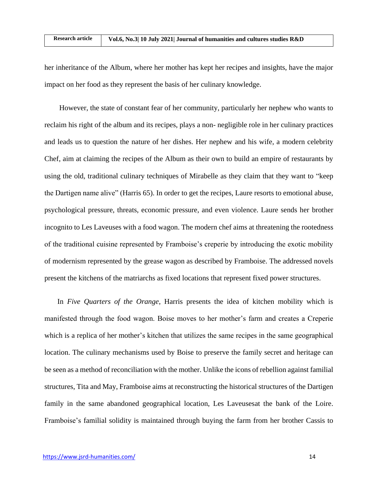her inheritance of the Album, where her mother has kept her recipes and insights, have the major impact on her food as they represent the basis of her culinary knowledge.

 However, the state of constant fear of her community, particularly her nephew who wants to reclaim his right of the album and its recipes, plays a non- negligible role in her culinary practices and leads us to question the nature of her dishes. Her nephew and his wife, a modern celebrity Chef, aim at claiming the recipes of the Album as their own to build an empire of restaurants by using the old, traditional culinary techniques of Mirabelle as they claim that they want to "keep the Dartigen name alive" (Harris 65). In order to get the recipes, Laure resorts to emotional abuse, psychological pressure, threats, economic pressure, and even violence. Laure sends her brother incognito to Les Laveuses with a food wagon. The modern chef aims at threatening the rootedness of the traditional cuisine represented by Framboise's creperie by introducing the exotic mobility of modernism represented by the grease wagon as described by Framboise. The addressed novels present the kitchens of the matriarchs as fixed locations that represent fixed power structures.

 In *Five Quarters of the Orange*, Harris presents the idea of kitchen mobility which is manifested through the food wagon. Boise moves to her mother's farm and creates a Creperie which is a replica of her mother's kitchen that utilizes the same recipes in the same geographical location. The culinary mechanisms used by Boise to preserve the family secret and heritage can be seen as a method of reconciliation with the mother. Unlike the icons of rebellion against familial structures, Tita and May, Framboise aims at reconstructing the historical structures of the Dartigen family in the same abandoned geographical location, Les Laveusesat the bank of the Loire. Framboise's familial solidity is maintained through buying the farm from her brother Cassis to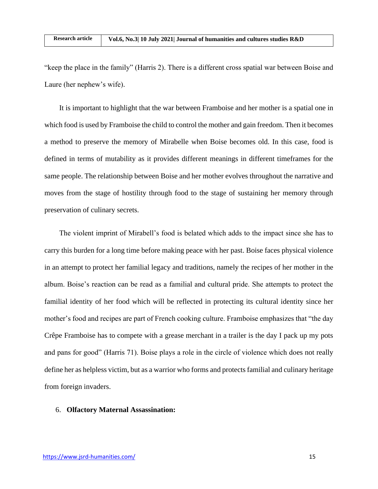"keep the place in the family" (Harris 2). There is a different cross spatial war between Boise and Laure (her nephew's wife).

 It is important to highlight that the war between Framboise and her mother is a spatial one in which food is used by Framboise the child to control the mother and gain freedom. Then it becomes a method to preserve the memory of Mirabelle when Boise becomes old. In this case, food is defined in terms of mutability as it provides different meanings in different timeframes for the same people. The relationship between Boise and her mother evolves throughout the narrative and moves from the stage of hostility through food to the stage of sustaining her memory through preservation of culinary secrets.

 The violent imprint of Mirabell's food is belated which adds to the impact since she has to carry this burden for a long time before making peace with her past. Boise faces physical violence in an attempt to protect her familial legacy and traditions, namely the recipes of her mother in the album. Boise's reaction can be read as a familial and cultural pride. She attempts to protect the familial identity of her food which will be reflected in protecting its cultural identity since her mother's food and recipes are part of French cooking culture. Framboise emphasizes that "the day Crêpe Framboise has to compete with a grease merchant in a trailer is the day I pack up my pots and pans for good" (Harris 71). Boise plays a role in the circle of violence which does not really define her as helpless victim, but as a warrior who forms and protects familial and culinary heritage from foreign invaders.

#### 6. **Olfactory Maternal Assassination:**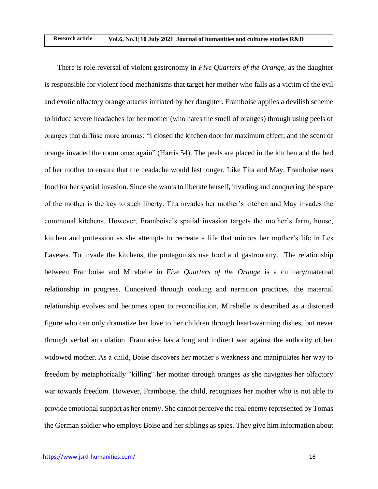There is role reversal of violent gastronomy in *Five Quarters of the Orange*, as the daughter is responsible for violent food mechanisms that target her mother who falls as a victim of the evil and exotic olfactory orange attacks initiated by her daughter. Framboise applies a devilish scheme to induce severe headaches for her mother (who hates the smell of oranges) through using peels of oranges that diffuse more aromas: "I closed the kitchen door for maximum effect; and the scent of orange invaded the room once again" (Harris 54). The peels are placed in the kitchen and the bed of her mother to ensure that the headache would last longer. Like Tita and May, Framboise uses food for her spatial invasion. Since she wants to liberate herself, invading and conquering the space of the mother is the key to such liberty. Tita invades her mother's kitchen and May invades the communal kitchens. However, Framboise's spatial invasion targets the mother's farm, house, kitchen and profession as she attempts to recreate a life that mirrors her mother's life in Les Laveses. To invade the kitchens, the protagonists use food and gastronomy. The relationship between Framboise and Mirabelle in *Five Quarters of the Orange* is a culinary/maternal relationship in progress. Conceived through cooking and narration practices, the maternal relationship evolves and becomes open to reconciliation. Mirabelle is described as a distorted figure who can only dramatize her love to her children through heart-warming dishes, but never through verbal articulation. Framboise has a long and indirect war against the authority of her widowed mother. As a child, Boise discovers her mother's weakness and manipulates her way to freedom by metaphorically "killing" her mother through oranges as she navigates her olfactory war towards freedom. However, Framboise, the child, recognizes her mother who is not able to provide emotional support as her enemy. She cannot perceive the real enemy represented by Tomas the German soldier who employs Boise and her siblings as spies. They give him information about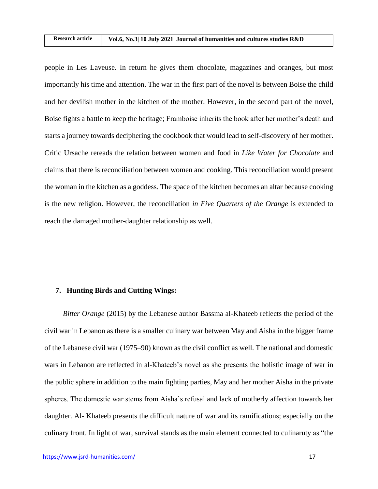people in Les Laveuse. In return he gives them chocolate, magazines and oranges, but most importantly his time and attention. The war in the first part of the novel is between Boise the child and her devilish mother in the kitchen of the mother. However, in the second part of the novel, Boise fights a battle to keep the heritage; Framboise inherits the book after her mother's death and starts a journey towards deciphering the cookbook that would lead to self-discovery of her mother. Critic Ursache rereads the relation between women and food in *Like Water for Chocolate* and claims that there is reconciliation between women and cooking. This reconciliation would present the woman in the kitchen as a goddess. The space of the kitchen becomes an altar because cooking is the new religion. However, the reconciliation *in Five Quarters of the Orange* is extended to reach the damaged mother-daughter relationship as well.

#### **7. Hunting Birds and Cutting Wings:**

 *Bitter Orange* (2015) by the Lebanese author Bassma al-Khateeb reflects the period of the civil war in Lebanon as there is a smaller culinary war between May and Aisha in the bigger frame of the Lebanese civil war (1975–90) known as the civil conflict as well. The national and domestic wars in Lebanon are reflected in al-Khateeb's novel as she presents the holistic image of war in the public sphere in addition to the main fighting parties, May and her mother Aisha in the private spheres. The domestic war stems from Aisha's refusal and lack of motherly affection towards her daughter. Al- Khateeb presents the difficult nature of war and its ramifications; especially on the culinary front. In light of war, survival stands as the main element connected to culinaruty as "the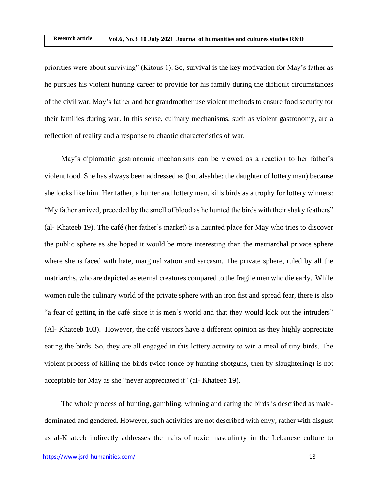priorities were about surviving" (Kitous 1). So, survival is the key motivation for May's father as he pursues his violent hunting career to provide for his family during the difficult circumstances of the civil war. May's father and her grandmother use violent methods to ensure food security for their families during war. In this sense, culinary mechanisms, such as violent gastronomy, are a reflection of reality and a response to chaotic characteristics of war.

 May's diplomatic gastronomic mechanisms can be viewed as a reaction to her father's violent food. She has always been addressed as (bnt alsahbe: the daughter of lottery man) because she looks like him. Her father, a hunter and lottery man, kills birds as a trophy for lottery winners: "My father arrived, preceded by the smell of blood as he hunted the birds with their shaky feathers" (al- Khateeb 19). The café (her father's market) is a haunted place for May who tries to discover the public sphere as she hoped it would be more interesting than the matriarchal private sphere where she is faced with hate, marginalization and sarcasm. The private sphere, ruled by all the matriarchs, who are depicted as eternal creatures compared to the fragile men who die early. While women rule the culinary world of the private sphere with an iron fist and spread fear, there is also "a fear of getting in the café since it is men's world and that they would kick out the intruders" (Al- Khateeb 103). However, the café visitors have a different opinion as they highly appreciate eating the birds. So, they are all engaged in this lottery activity to win a meal of tiny birds. The violent process of killing the birds twice (once by hunting shotguns, then by slaughtering) is not acceptable for May as she "never appreciated it" (al- Khateeb 19).

 The whole process of hunting, gambling, winning and eating the birds is described as maledominated and gendered. However, such activities are not described with envy, rather with disgust as al-Khateeb indirectly addresses the traits of toxic masculinity in the Lebanese culture to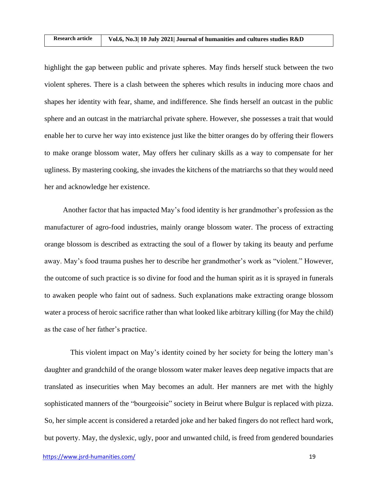highlight the gap between public and private spheres. May finds herself stuck between the two violent spheres. There is a clash between the spheres which results in inducing more chaos and shapes her identity with fear, shame, and indifference. She finds herself an outcast in the public sphere and an outcast in the matriarchal private sphere. However, she possesses a trait that would enable her to curve her way into existence just like the bitter oranges do by offering their flowers to make orange blossom water, May offers her culinary skills as a way to compensate for her ugliness. By mastering cooking, she invades the kitchens of the matriarchs so that they would need her and acknowledge her existence.

 Another factor that has impacted May's food identity is her grandmother's profession as the manufacturer of agro-food industries, mainly orange blossom water. The process of extracting orange blossom is described as extracting the soul of a flower by taking its beauty and perfume away. May's food trauma pushes her to describe her grandmother's work as "violent." However, the outcome of such practice is so divine for food and the human spirit as it is sprayed in funerals to awaken people who faint out of sadness. Such explanations make extracting orange blossom water a process of heroic sacrifice rather than what looked like arbitrary killing (for May the child) as the case of her father's practice.

 This violent impact on May's identity coined by her society for being the lottery man's daughter and grandchild of the orange blossom water maker leaves deep negative impacts that are translated as insecurities when May becomes an adult. Her manners are met with the highly sophisticated manners of the "bourgeoisie" society in Beirut where Bulgur is replaced with pizza. So, her simple accent is considered a retarded joke and her baked fingers do not reflect hard work, but poverty. May, the dyslexic, ugly, poor and unwanted child, is freed from gendered boundaries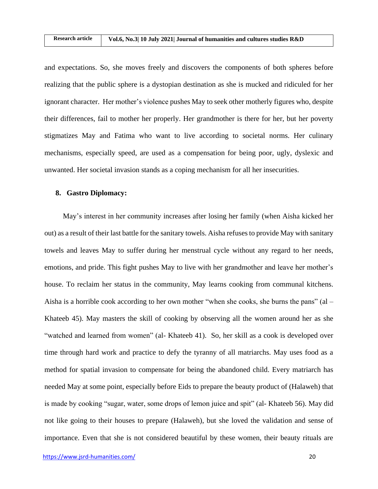and expectations. So, she moves freely and discovers the components of both spheres before realizing that the public sphere is a dystopian destination as she is mucked and ridiculed for her ignorant character. Her mother's violence pushes May to seek other motherly figures who, despite their differences, fail to mother her properly. Her grandmother is there for her, but her poverty stigmatizes May and Fatima who want to live according to societal norms. Her culinary mechanisms, especially speed, are used as a compensation for being poor, ugly, dyslexic and unwanted. Her societal invasion stands as a coping mechanism for all her insecurities.

#### **8. Gastro Diplomacy:**

 May's interest in her community increases after losing her family (when Aisha kicked her out) as a result of their last battle for the sanitary towels. Aisha refuses to provide May with sanitary towels and leaves May to suffer during her menstrual cycle without any regard to her needs, emotions, and pride. This fight pushes May to live with her grandmother and leave her mother's house. To reclaim her status in the community, May learns cooking from communal kitchens. Aisha is a horrible cook according to her own mother "when she cooks, she burns the pans"  $(al -$ Khateeb 45). May masters the skill of cooking by observing all the women around her as she "watched and learned from women" (al- Khateeb 41). So, her skill as a cook is developed over time through hard work and practice to defy the tyranny of all matriarchs. May uses food as a method for spatial invasion to compensate for being the abandoned child. Every matriarch has needed May at some point, especially before Eids to prepare the beauty product of (Halaweh) that is made by cooking "sugar, water, some drops of lemon juice and spit" (al- Khateeb 56). May did not like going to their houses to prepare (Halaweh), but she loved the validation and sense of importance. Even that she is not considered beautiful by these women, their beauty rituals are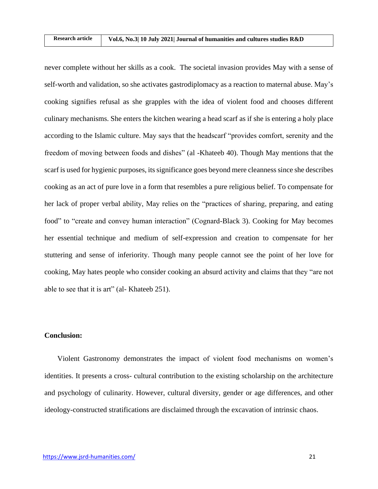never complete without her skills as a cook. The societal invasion provides May with a sense of self-worth and validation, so she activates gastrodiplomacy as a reaction to maternal abuse. May's cooking signifies refusal as she grapples with the idea of violent food and chooses different culinary mechanisms. She enters the kitchen wearing a head scarf as if she is entering a holy place according to the Islamic culture. May says that the headscarf "provides comfort, serenity and the freedom of moving between foods and dishes" (al -Khateeb 40). Though May mentions that the scarf is used for hygienic purposes, its significance goes beyond mere cleanness since she describes cooking as an act of pure love in a form that resembles a pure religious belief. To compensate for her lack of proper verbal ability, May relies on the "practices of sharing, preparing, and eating food" to "create and convey human interaction" (Cognard-Black 3). Cooking for May becomes her essential technique and medium of self-expression and creation to compensate for her stuttering and sense of inferiority. Though many people cannot see the point of her love for cooking, May hates people who consider cooking an absurd activity and claims that they "are not able to see that it is art" (al- Khateeb 251).

#### **Conclusion:**

 Violent Gastronomy demonstrates the impact of violent food mechanisms on women's identities. It presents a cross- cultural contribution to the existing scholarship on the architecture and psychology of culinarity. However, cultural diversity, gender or age differences, and other ideology-constructed stratifications are disclaimed through the excavation of intrinsic chaos.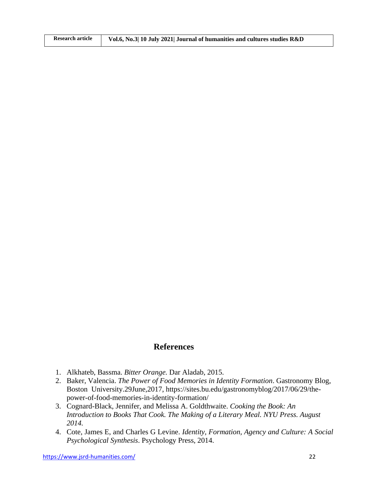| <b>Research article</b> | Vol.6, No.3  10 July 2021  Journal of humanities and cultures studies R&D |
|-------------------------|---------------------------------------------------------------------------|

## **References**

- 1. Alkhateb, Bassma. *Bitter Orange.* Dar Aladab, 2015.
- 2. Baker, Valencia. *The Power of Food Memories in Identity Formation*. Gastronomy Blog, Boston University.29June,2017, https://sites.bu.edu/gastronomyblog/2017/06/29/thepower-of-food-memories-in-identity-formation/
- 3. Cognard-Black, Jennifer, and Melissa A. Goldthwaite. *Cooking the Book: An Introduction to Books That Cook. The Making of a Literary Meal. NYU Press. August 2014.*
- 4. Cote, James E, and Charles G Levine. *Identity, Formation, Agency and Culture: A Social Psychological Synthesis*. Psychology Press, 2014.